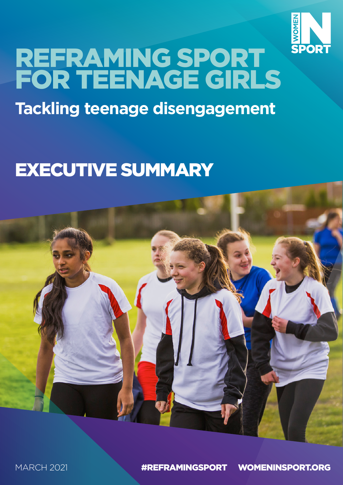

# REFRAMING SPORT FOR TEENAGE GIRLS **Tackling teenage disengagement**

# EXECUTIVE SUMMARY

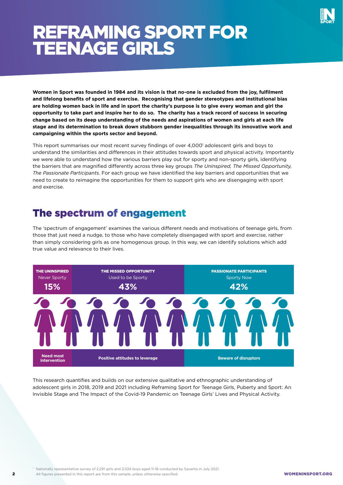

## REFRAMING SPORT FOR TEENAGE GIRLS

**Women in Sport was founded in 1984 and its vision is that no-one is excluded from the joy, fulfilment and lifelong benefits of sport and exercise. Recognising that gender stereotypes and institutional bias are holding women back in life and in sport the charity's purpose is to give every woman and girl the opportunity to take part and inspire her to do so. The charity has a track record of success in securing change based on its deep understanding of the needs and aspirations of women and girls at each life stage and its determination to break down stubborn gender inequalities through its innovative work and campaigning within the sports sector and beyond.**

This report summarises our most recent survey findings of over 4,000<sup>1</sup> adolescent girls and boys to understand the similarities and differences in their attitudes towards sport and physical activity. Importantly we were able to understand how the various barriers play out for sporty and non-sporty girls, identifying the barriers that are magnified differently across three key groups *The Uninspired, The Missed Opportunity, The Passionate Participants*. For each group we have identified the key barriers and opportunities that we need to create to reimagine the opportunities for them to support girls who are disengaging with sport and exercise.

### The spectrum of engagement

The 'spectrum of engagement' examines the various different needs and motivations of teenage girls, from those that just need a nudge, to those who have completely disengaged with sport and exercise, rather than simply considering girls as one homogenous group. In this way, we can identify solutions which add true value and relevance to their lives.



This research quantifies and builds on our extensive qualitative and ethnographic understanding of adolescent girls in 2018, 2019 and 2021 including Reframing Sport for Teenage Girls, Puberty and Sport: An Invisible Stage and The Impact of the Covid-19 Pandemic on Teenage Girls' Lives and Physical Activity.

2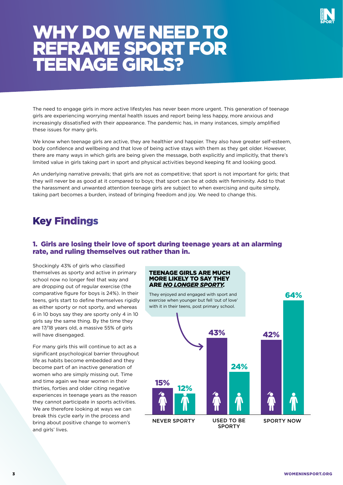

## WHY DO WE NEED TO REFRAME SPORT FOR TEENAGE GIRLS?

The need to engage girls in more active lifestyles has never been more urgent. This generation of teenage girls are experiencing worrying mental health issues and report being less happy, more anxious and increasingly dissatisfied with their appearance. The pandemic has, in many instances, simply amplified these issues for many girls.

We know when teenage girls are active, they are healthier and happier. They also have greater self-esteem, body confidence and wellbeing and that love of being active stays with them as they get older. However, there are many ways in which girls are being given the message, both explicitly and implicitly, that there's limited value in girls taking part in sport and physical activities beyond keeping fit and looking good.

An underlying narrative prevails; that girls are not as competitive; that sport is not important for girls; that they will never be as good at it compared to boys; that sport can be at odds with femininity. Add to that the harassment and unwanted attention teenage girls are subject to when exercising and quite simply, taking part becomes a burden, instead of bringing freedom and joy. We need to change this.

### Key Findings

#### 1. Girls are losing their love of sport during teenage years at an alarming rate, and ruling themselves out rather than in.

Shockingly 43% of girls who classified themselves as sporty and active in primary school now no longer feel that way and are dropping out of regular exercise (the comparative figure for boys is 24%). In their teens, girls start to define themselves rigidly as either sporty or not sporty, and whereas 6 in 10 boys say they are sporty only 4 in 10 girls say the same thing. By the time they are 17/18 years old, a massive 55% of girls will have disengaged.

For many girls this will continue to act as a significant psychological barrier throughout life as habits become embedded and they become part of an inactive generation of women who are simply missing out. Time and time again we hear women in their thirties, forties and older citing negative experiences in teenage years as the reason they cannot participate in sports activities. We are therefore looking at ways we can break this cycle early in the process and bring about positive change to women's and girls' lives.

#### TEENAGE GIRLS ARE MUCH MORE LIKELY TO SAY THEY ARE *NO LONGER SPORTY.*

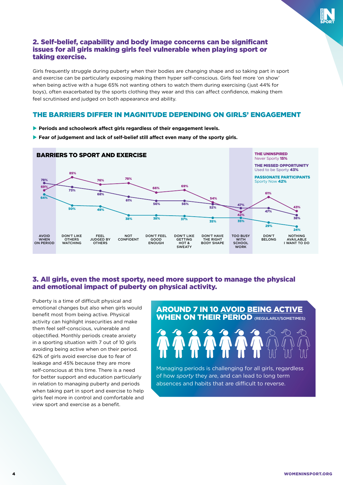#### 2. Self-belief, capability and body image concerns can be significant issues for all girls making girls feel vulnerable when playing sport or taking exercise.

Girls frequently struggle during puberty when their bodies are changing shape and so taking part in sport and exercise can be particularly exposing making them hyper self-conscious. Girls feel more 'on show' when being active with a huge 65% not wanting others to watch them during exercising (just 44% for boys), often exacerbated by the sports clothing they wear and this can affect confidence, making them feel scrutinised and judged on both appearance and ability.

#### THE BARRIERS DIFFER IN MAGNITUDE DEPENDING ON GIRLS' ENGAGEMENT

- **Periods and schoolwork affect girls regardless of their engagement levels.**
- **Fear of judgement and lack of self-belief still affect even many of the sporty girls.**



#### 3. All girls, even the most sporty, need more support to manage the physical and emotional impact of puberty on physical activity.

Puberty is a time of difficult physical and emotional changes but also when girls would benefit most from being active. Physical activity can highlight insecurities and make them feel self-conscious, vulnerable and objectified. Monthly periods create anxiety in a sporting situation with 7 out of 10 girls avoiding being active when on their period. 62% of girls avoid exercise due to fear of leakage and 45% because they are more self-conscious at this time. There is a need for better support and education particularly in relation to managing puberty and periods when taking part in sport and exercise to help girls feel more in control and comfortable and view sport and exercise as a benefit.

#### AROUND 7 IN 10 AVOID BEING ACTIVE WHEN ON THEIR PERIOD (REGULARLY/SOMETIMES)



Managing periods is challenging for all girls, regardless of how *sporty* they are, and can lead to long term absences and habits that are difficult to reverse.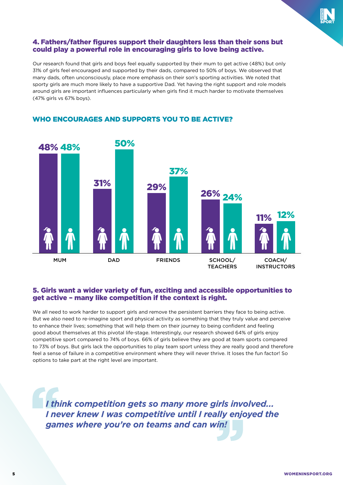

#### 4. Fathers/father figures support their daughters less than their sons but could play a powerful role in encouraging girls to love being active.

Our research found that girls and boys feel equally supported by their mum to get active (48%) but only 31% of girls feel encouraged and supported by their dads, compared to 50% of boys. We observed that many dads, often unconsciously, place more emphasis on their son's sporting activities. We noted that sporty girls are much more likely to have a supportive Dad. Yet having the right support and role models around girls are important influences particularly when girls find it much harder to motivate themselves (47% girls vs 67% boys).



#### WHO ENCOURAGES AND SUPPORTS YOU TO BE ACTIVE?

#### 5. Girls want a wider variety of fun, exciting and accessible opportunities to get active – many like competition if the context is right.

We all need to work harder to support girls and remove the persistent barriers they face to being active. But we also need to re-imagine sport and physical activity as something that they truly value and perceive to enhance their lives; something that will help them on their journey to being confident and feeling good about themselves at this pivotal life-stage. Interestingly, our research showed 64% of girls enjoy competitive sport compared to 74% of boys. 66% of girls believe they are good at team sports compared to 73% of boys. But girls lack the opportunities to play team sport unless they are really good and therefore feel a sense of failure in a competitive environment where they will never thrive. It loses the fun factor! So options to take part at the right level are important.

*I think competition gets so many more girls involved... I never knew I was competitive until I really enjoyed the games where you're on teams and can win!*